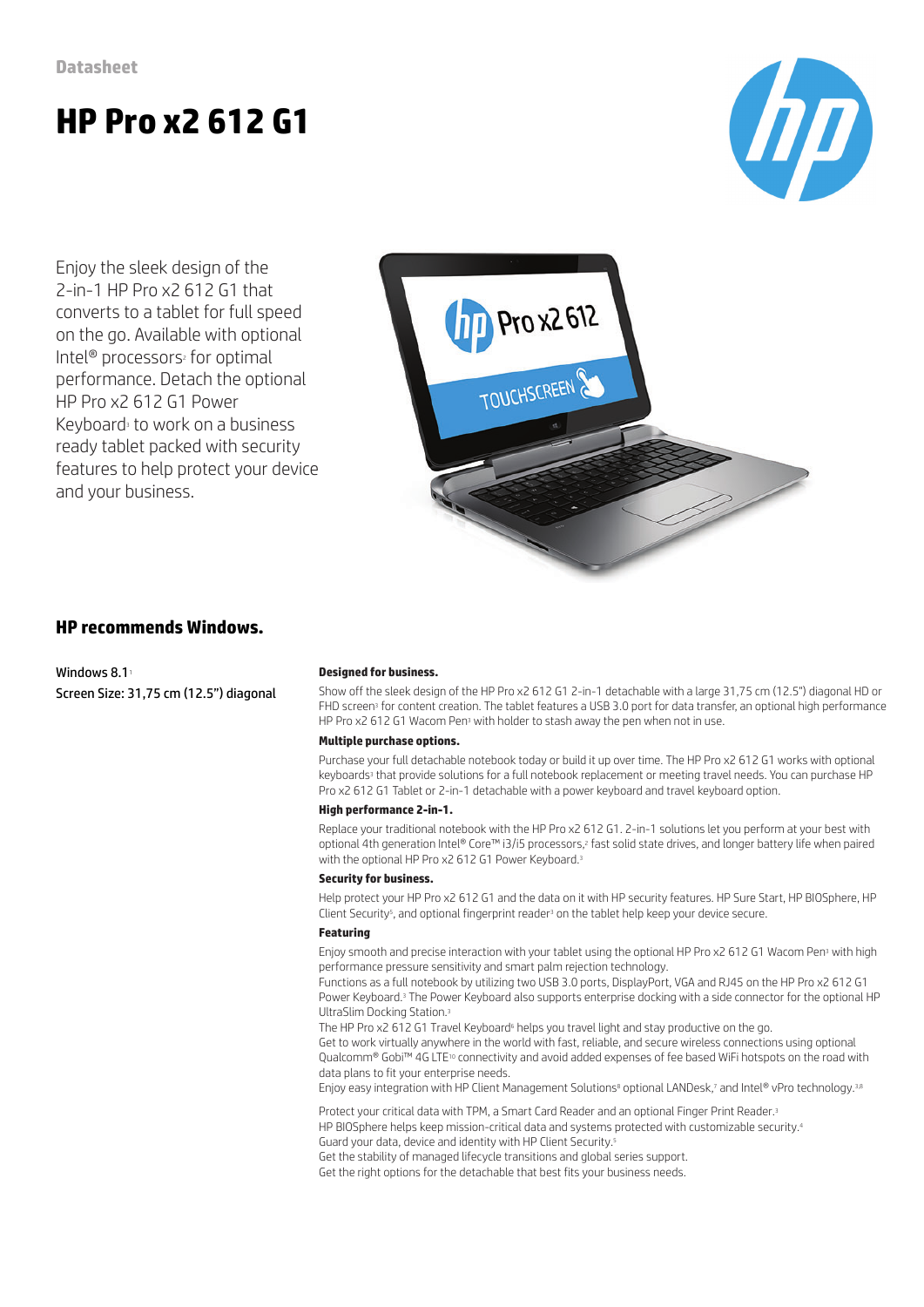# **HP Pro x2 612 G1**



Enjoy the sleek design of the 2-in-1 HP Pro x2 612 G1 that converts to a tablet for full speed on the go. Available with optional Intel<sup>®</sup> processors<sup>2</sup> for optimal performance. Detach the optional HP Pro x2 612 G1 Power Keyboard<sup>3</sup> to work on a business ready tablet packed with security features to help protect your device and your business.



### **HP recommends Windows.**

Windows  $8.1<sup>1</sup>$ Screen Size: 31,75 cm (12.5") diagonal

#### **Designed for business.**

Show off the sleek design of the HP Pro x2 612 G1 2-in-1 detachable with a large 31,75 cm (12.5") diagonal HD or FHD screen<sup>3</sup> for content creation. The tablet features a USB 3.0 port for data transfer, an optional high performance HP Pro x2 612 G1 Wacom Pen<sup>3</sup> with holder to stash away the pen when not in use.

#### **Multiple purchase options.**

Purchase your full detachable notebook today or build it up over time. The HP Pro x2 612 G1 works with optional keyboards<sup>3</sup> that provide solutions for a full notebook replacement or meeting travel needs. You can purchase HP Pro x2 612 G1 Tablet or 2-in-1 detachable with a power keyboard and travel keyboard option.

#### **High performance 2-in-1.**

Replace your traditional notebook with the HP Pro x2 612 G1. 2-in-1 solutions let you perform at your best with optional 4th generation Intel® Core™ i3/i5 processors,<sup>2</sup> fast solid state drives, and longer battery life when paired with the optional HP Pro x2 612 G1 Power Keyboard.<sup>3</sup>

#### **Security for business.**

Help protect your HP Pro x2 612 G1 and the data on it with HP security features. HP Sure Start, HP BIOSphere, HP Client Security<sup>5</sup>, and optional fingerprint reader<sup>3</sup> on the tablet help keep your device secure.

#### **Featuring**

Enjoy smooth and precise interaction with your tablet using the optional HP Pro x2 612 G1 Wacom Pen<sup>3</sup> with high performance pressure sensitivity and smart palm rejection technology.

Functions as a full notebook by utilizing two USB 3.0 ports, DisplayPort, VGA and RJ45 on the HP Pro x2 612 G1 Power Keyboard.<sup>3</sup> The Power Keyboard also supports enterprise docking with a side connector for the optional HP UltraSlim Docking Station.<sup>3</sup>

The HP Pro x2 612 G1 Travel Keyboard<sup>6</sup> helps you travel light and stay productive on the go.

Get to work virtually anywhere in the world with fast, reliable, and secure wireless connections using optional Qualcomm® Gobi™ 4G LTE<sup>10</sup> connectivity and avoid added expenses of fee based WiFi hotspots on the road with data plans to fit your enterprise needs.

Enjoy easy integration with HP Client Management Solutions<sup>8</sup> optional LANDesk,7 and Intel® vPro technology.3,8

Protect your critical data with TPM, a Smart Card Reader and an optional Finger Print Reader.<sup>3</sup> HP BIOSphere helps keep mission-critical data and systems protected with customizable security.<sup>4</sup> Guard your data, device and identity with HP Client Security.<sup>5</sup> Get the stability of managed lifecycle transitions and global series support. Get the right options for the detachable that best fits your business needs.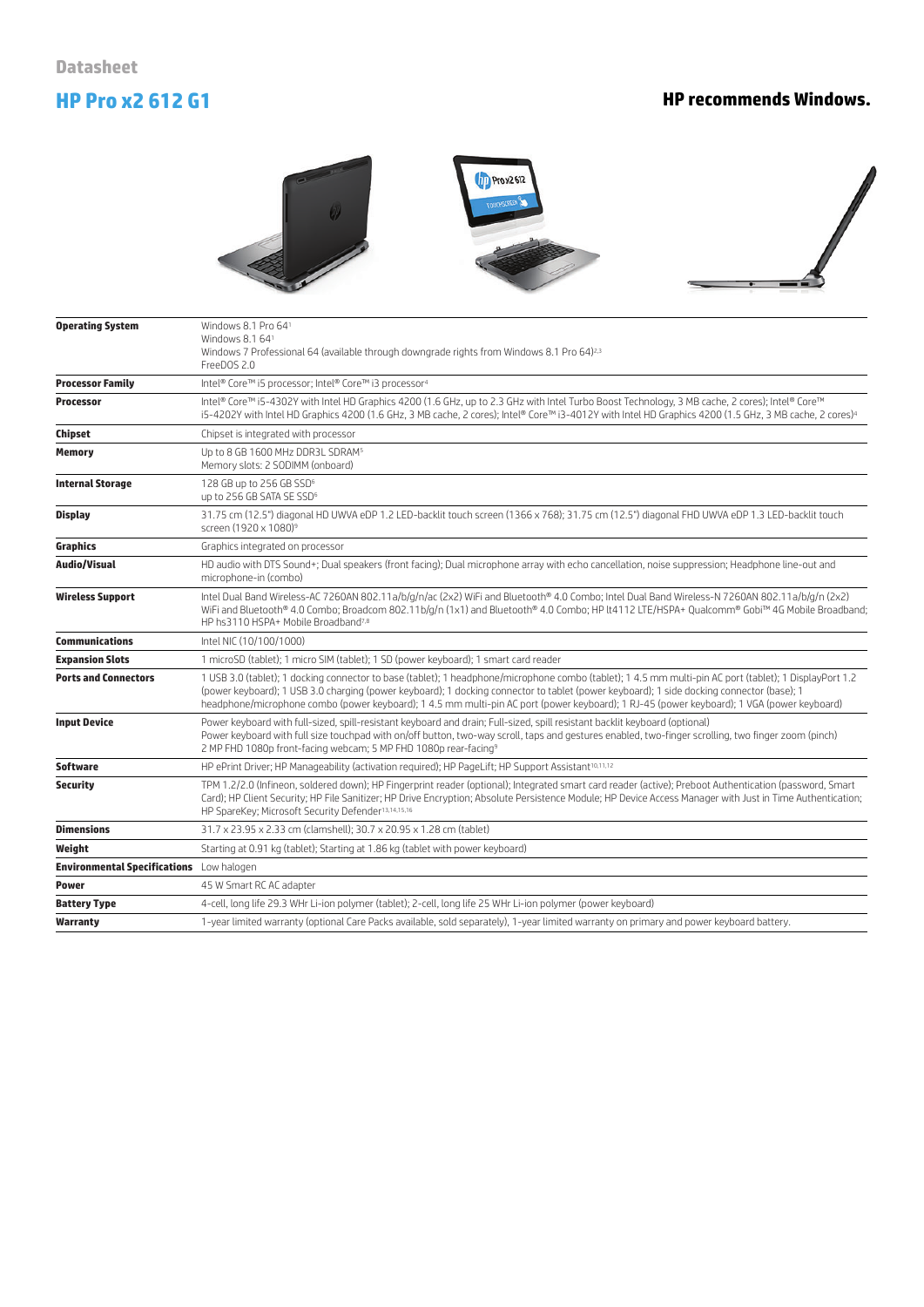# **HP Pro x2 612 G1 HP recommends Windows.**







| <b>Operating System</b>                         | Windows 8.1 Pro 641<br>Windows 8.1 641<br>Windows 7 Professional 64 (available through downgrade rights from Windows 8.1 Pro 64) <sup>2,3</sup><br>FreeDOS 2.0                                                                                                                                                                                                                                                                                     |
|-------------------------------------------------|----------------------------------------------------------------------------------------------------------------------------------------------------------------------------------------------------------------------------------------------------------------------------------------------------------------------------------------------------------------------------------------------------------------------------------------------------|
| <b>Processor Family</b>                         | Intel® Core™ i5 processor; Intel® Core™ i3 processor <sup>4</sup>                                                                                                                                                                                                                                                                                                                                                                                  |
| <b>Processor</b>                                | Intel® Core™ i5-4302Y with Intel HD Graphics 4200 (1.6 GHz, up to 2.3 GHz with Intel Turbo Boost Technology, 3 MB cache, 2 cores); Intel® Core™<br>i5-4202Y with Intel HD Graphics 4200 (1.6 GHz, 3 MB cache, 2 cores); Intel® Core™ i3-4012Y with Intel HD Graphics 4200 (1.5 GHz, 3 MB cache, 2 cores) <sup>4</sup>                                                                                                                              |
| <b>Chipset</b>                                  | Chipset is integrated with processor                                                                                                                                                                                                                                                                                                                                                                                                               |
| <b>Memory</b>                                   | Up to 8 GB 1600 MHz DDR3L SDRAM <sup>5</sup><br>Memory slots: 2 SODIMM (onboard)                                                                                                                                                                                                                                                                                                                                                                   |
| <b>Internal Storage</b>                         | 128 GB up to 256 GB SSD <sup>6</sup><br>up to 256 GB SATA SE SSD <sup>6</sup>                                                                                                                                                                                                                                                                                                                                                                      |
| <b>Display</b>                                  | 31.75 cm (12.5") diagonal HD UWVA eDP 1.2 LED-backlit touch screen (1366 x 768); 31.75 cm (12.5") diagonal FHD UWVA eDP 1.3 LED-backlit touch<br>screen (1920 x 1080) <sup>9</sup>                                                                                                                                                                                                                                                                 |
| Graphics                                        | Graphics integrated on processor                                                                                                                                                                                                                                                                                                                                                                                                                   |
| <b>Audio/Visual</b>                             | HD audio with DTS Sound+; Dual speakers (front facing); Dual microphone array with echo cancellation, noise suppression; Headphone line-out and<br>microphone-in (combo)                                                                                                                                                                                                                                                                           |
| <b>Wireless Support</b>                         | Intel Dual Band Wireless-AC 7260AN 802.11a/b/g/n/ac (2x2) WiFi and Bluetooth® 4.0 Combo; Intel Dual Band Wireless-N 7260AN 802.11a/b/g/n (2x2)<br>WiFi and Bluetooth® 4.0 Combo; Broadcom 802.11b/g/n (1x1) and Bluetooth® 4.0 Combo; HP lt4112 LTE/HSPA+ Qualcomm® Gobi™ 4G Mobile Broadband;<br>HP hs3110 HSPA+ Mobile Broadband <sup>7,8</sup>                                                                                                  |
| <b>Communications</b>                           | Intel NIC (10/100/1000)                                                                                                                                                                                                                                                                                                                                                                                                                            |
| <b>Expansion Slots</b>                          | 1 microSD (tablet); 1 micro SIM (tablet); 1 SD (power keyboard); 1 smart card reader                                                                                                                                                                                                                                                                                                                                                               |
| <b>Ports and Connectors</b>                     | 1 USB 3.0 (tablet); 1 docking connector to base (tablet); 1 headphone/microphone combo (tablet); 1 4.5 mm multi-pin AC port (tablet); 1 DisplayPort 1.2<br>(power keyboard); 1 USB 3.0 charging (power keyboard); 1 docking connector to tablet (power keyboard); 1 side docking connector (base); 1<br>headphone/microphone combo (power keyboard); 1 4.5 mm multi-pin AC port (power keyboard); 1 RJ-45 (power keyboard); 1 VGA (power keyboard) |
| <b>Input Device</b>                             | Power keyboard with full-sized, spill-resistant keyboard and drain; Full-sized, spill resistant backlit keyboard (optional)<br>Power keyboard with full size touchpad with on/off button, two-way scroll, taps and gestures enabled, two-finger scrolling, two finger zoom (pinch)<br>2 MP FHD 1080p front-facing webcam; 5 MP FHD 1080p rear-facing <sup>9</sup>                                                                                  |
| <b>Software</b>                                 | HP ePrint Driver; HP Manageability (activation required); HP PageLift; HP Support Assistant <sup>10,11,12</sup>                                                                                                                                                                                                                                                                                                                                    |
| <b>Security</b>                                 | TPM 1.2/2.0 (Infineon, soldered down); HP Fingerprint reader (optional); Integrated smart card reader (active); Preboot Authentication (password, Smart<br>Card); HP Client Security; HP File Sanitizer; HP Drive Encryption; Absolute Persistence Module; HP Device Access Manager with Just in Time Authentication;<br>HP SpareKey: Microsoft Security Defender <sup>13,14,15,16</sup>                                                           |
| <b>Dimensions</b>                               | 31.7 x 23.95 x 2.33 cm (clamshell); 30.7 x 20.95 x 1.28 cm (tablet)                                                                                                                                                                                                                                                                                                                                                                                |
| Weight                                          | Starting at 0.91 kg (tablet); Starting at 1.86 kg (tablet with power keyboard)                                                                                                                                                                                                                                                                                                                                                                     |
| <b>Environmental Specifications</b> Low halogen |                                                                                                                                                                                                                                                                                                                                                                                                                                                    |
| <b>Power</b>                                    | 45 W Smart RC AC adapter                                                                                                                                                                                                                                                                                                                                                                                                                           |
| <b>Battery Type</b>                             | 4-cell, long life 29.3 WHr Li-ion polymer (tablet); 2-cell, long life 25 WHr Li-ion polymer (power keyboard)                                                                                                                                                                                                                                                                                                                                       |
| Warranty                                        | 1-year limited warranty (optional Care Packs available, sold separately), 1-year limited warranty on primary and power keyboard battery.                                                                                                                                                                                                                                                                                                           |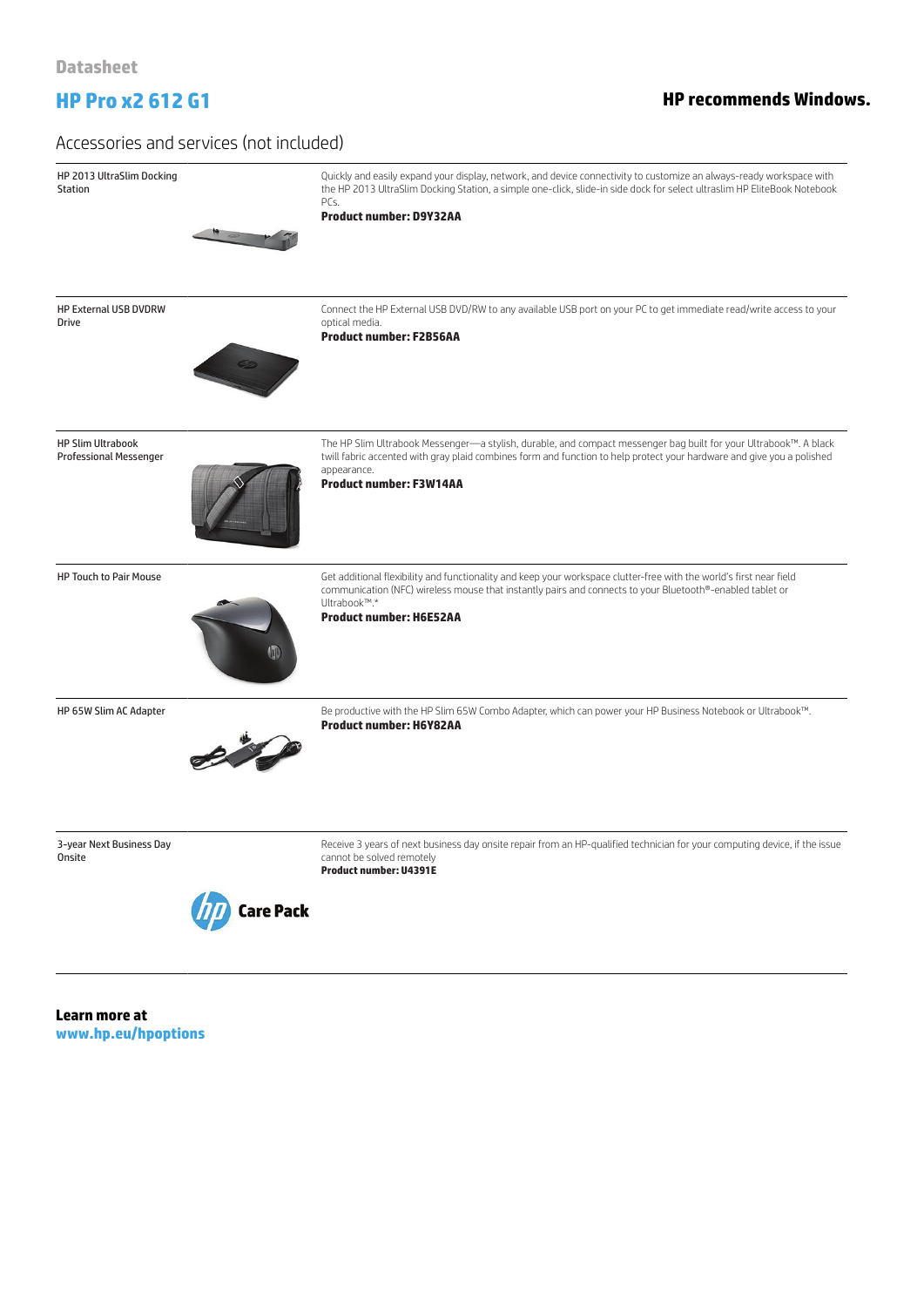# **HP Pro x2 612 G1 HP recommends Windows.**

### Accessories and services (not included)

HP 2013 UltraSlim Docking Quickly and easily expand your display, network, and device connectivity to customize an always-ready workspace with Station the HP 2013 UltraSlim Docking Station, a simple one-click, slide-in side dock for select ultraslim HP EliteBook Notebook  $PC<sub>s</sub>$ **Product number: D9Y32AA** HP External USB DVDRW Connect the HP External USB DVD/RW to any available USB port on your PC to get immediate read/write access to your Drive optical media. **Product number: F2B56AA** HP Slim Ultrabook The HP Slim Ultrabook Messenger—a stylish, durable, and compact messenger bag built for your Ultrabook™. A black Professional Messenger twill fabric accented with gray plaid combines form and function to help protect your hardware and give you a polished appearance. **Product number: F3W14AA** HP Touch to Pair Mouse Get additional flexibility and functionality and keep your workspace clutter-free with the world's first near field communication (NFC) wireless mouse that instantly pairs and connects to your Bluetooth®-enabled tablet or Ultrabook™.\* **Product number: H6E52AA** HP 65W Slim AC Adapter external on the HP Slim 65W Combo Adapter, which can power your HP Business Notebook or Ultrabook™. **Product number: H6Y82AA** 3-year Next Business Day Receive 3 years of next business day onsite repair from an HP-qualified technician for your computing device, if the issue **Onsite** cannot be solved remotely **Product number: U4391E Care Pack** 

**Learn more at www.hp.eu/hpoptions**